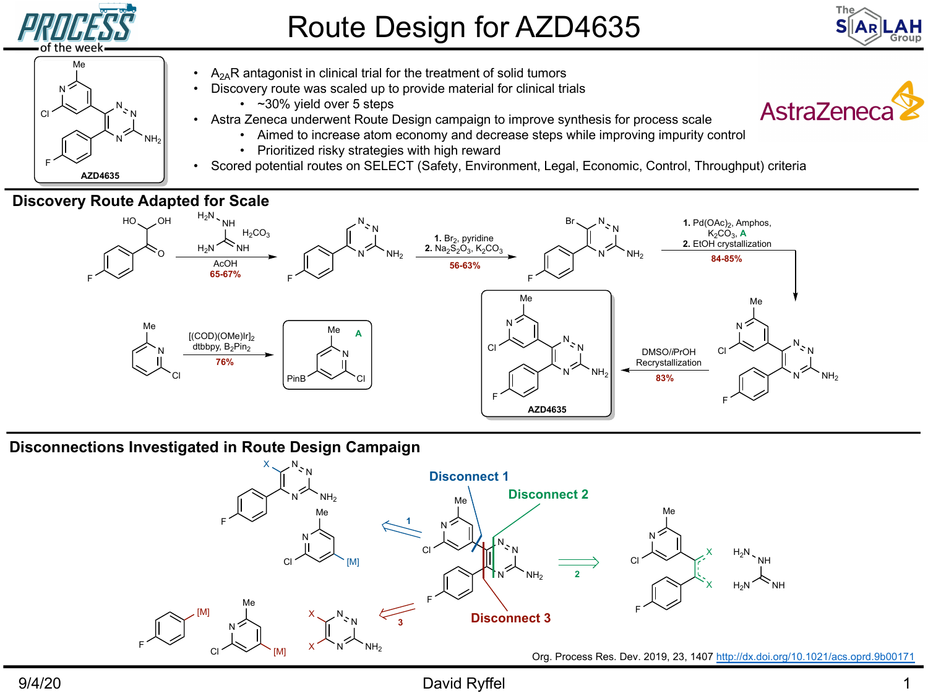

**AZD4635**

F

# Route Design for AZD4635

- $A_{2A}R$  antagonist in clinical trial for the treatment of solid tumors
- Discovery route was scaled up to provide material for clinical trials
	- ~30% yield over 5 steps
	- Astra Zeneca underwent Route Design campaign to improve synthesis for process scale
		- Aimed to increase atom economy and decrease steps while improving impurity control
			- Prioritized risky strategies with high reward
- Scored potential routes on SELECT (Safety, Environment, Legal, Economic, Control, Throughput) crite

**As** 

#### **Discovery Route Adapted for Scale**



#### **Disconnections Investigated in Route Design Campaign**



## 9/4/20 David Ryffel 1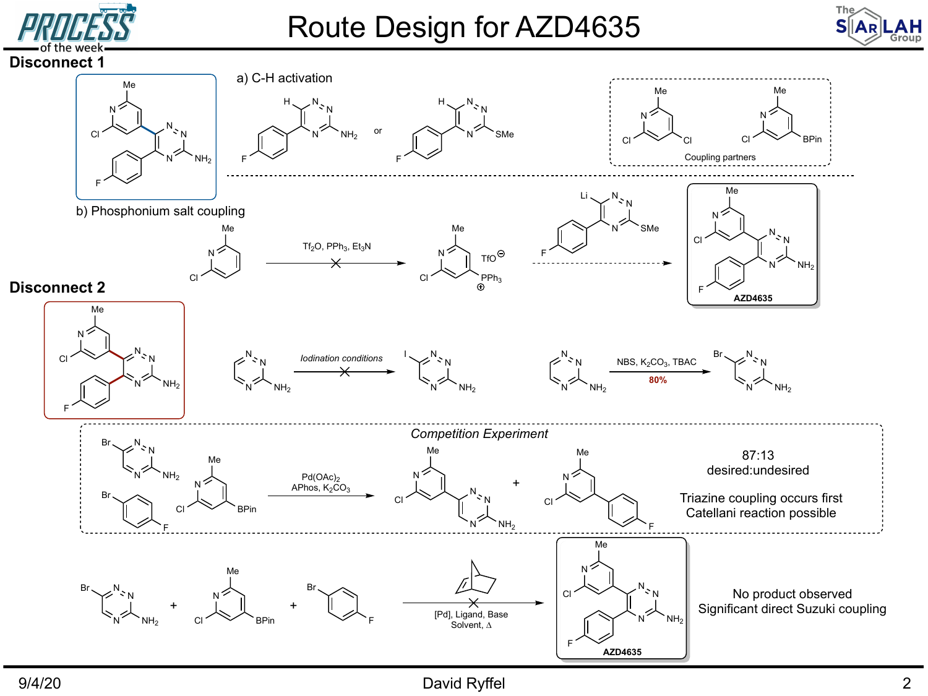



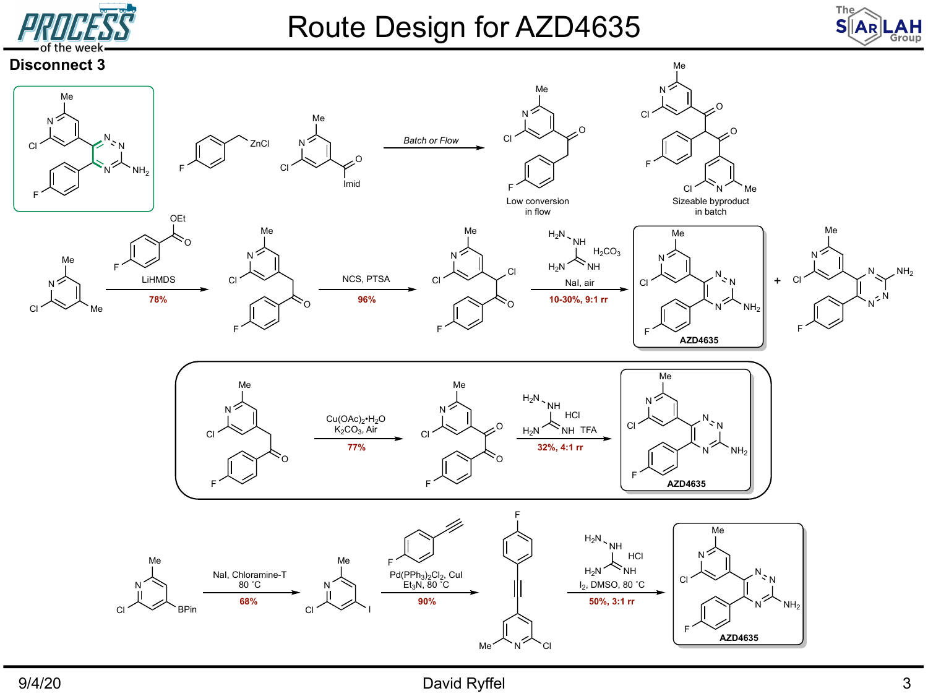

# Route Design for AZD4635